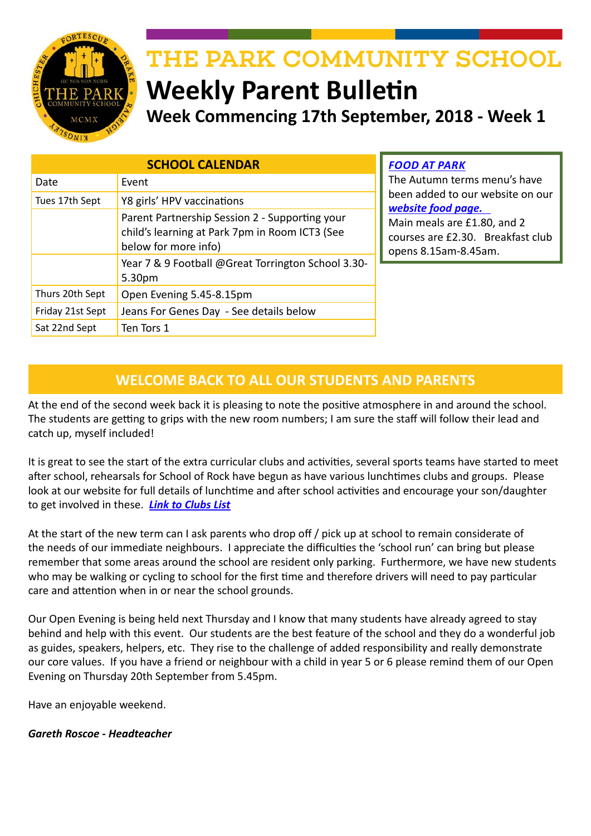

# THE PARK COMMUNITY SCHOOL

# **Weekly Parent Bulletin Week Commencing 17th September, 2018 - Week 1**

| <b>SCHOOL CALENDAR</b> |                                                                                                                          |
|------------------------|--------------------------------------------------------------------------------------------------------------------------|
| Date                   | Event                                                                                                                    |
| Tues 17th Sept         | Y8 girls' HPV vaccinations                                                                                               |
|                        | Parent Partnership Session 2 - Supporting your<br>child's learning at Park 7pm in Room ICT3 (See<br>below for more info) |
|                        | Year 7 & 9 Football @Great Torrington School 3.30-<br>5.30pm                                                             |
| Thurs 20th Sept        | Open Evening 5.45-8.15pm                                                                                                 |
| Friday 21st Sept       | Jeans For Genes Day - See details below                                                                                  |
| Sat 22nd Sept          | Ten Tors 1                                                                                                               |

*FOOD AT PARK*

The Autumn terms menu's have been added to our website on our *[website food page.](http://www.theparkschool.org.uk/food-park)*  Main meals are £1.80, and 2 courses are £2.30. Breakfast club opens 8.15am-8.45am.

# **WELCOME BACK TO ALL OUR STUDENTS AND PARENTS**

At the end of the second week back it is pleasing to note the positive atmosphere in and around the school. The students are getting to grips with the new room numbers; I am sure the staff will follow their lead and catch up, myself included!

It is great to see the start of the extra curricular clubs and activities, several sports teams have started to meet after school, rehearsals for School of Rock have begun as have various lunchtimes clubs and groups. Please look at our website for full details of lunchtime and after school activities and encourage your son/daughter to get involved in these. *[Link to Clubs List](https://docs.google.com/spreadsheets/d/e/2PACX-1vTShRz0kqlVVPMpiUZ2HlYfW7VBahWSTTA3aiQ8TX_gdnhNd2kJ7w6rHVbEi_ZkyuVnKMpD6cq1ie9J/pubhtml?gid=0&single=true)*

At the start of the new term can I ask parents who drop off / pick up at school to remain considerate of the needs of our immediate neighbours. I appreciate the difficulties the 'school run' can bring but please remember that some areas around the school are resident only parking. Furthermore, we have new students who may be walking or cycling to school for the first time and therefore drivers will need to pay particular care and attention when in or near the school grounds.

Our Open Evening is being held next Thursday and I know that many students have already agreed to stay behind and help with this event. Our students are the best feature of the school and they do a wonderful job as guides, speakers, helpers, etc. They rise to the challenge of added responsibility and really demonstrate our core values. If you have a friend or neighbour with a child in year 5 or 6 please remind them of our Open Evening on Thursday 20th September from 5.45pm.

Have an enjoyable weekend.

#### *Gareth Roscoe - Headteacher*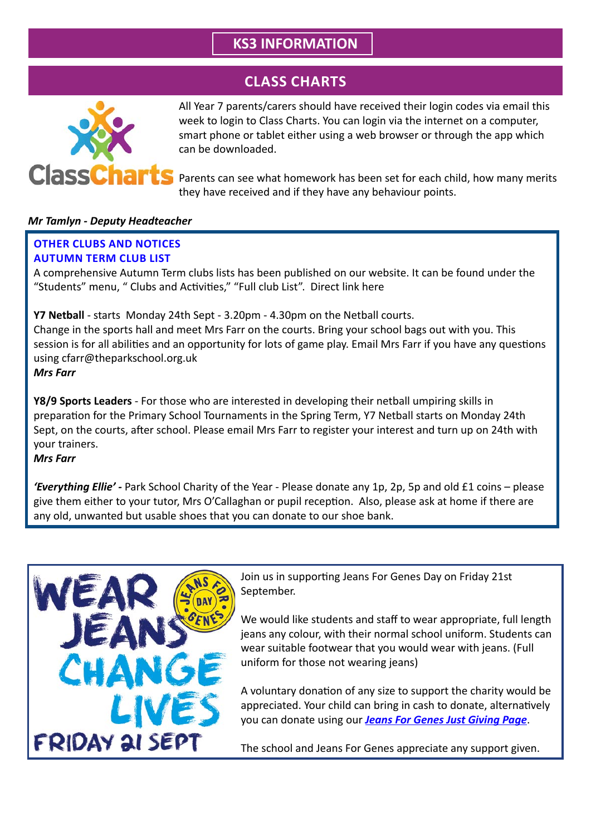# **KS3 INFORMATION**

# **CLASS CHARTS**



All Year 7 parents/carers should have received their login codes via email this week to login to Class Charts. You can login via the internet on a computer, smart phone or tablet either using a web browser or through the app which can be downloaded.

Parents can see what homework has been set for each child, how many merits they have received and if they have any behaviour points.

#### *Mr Tamlyn - Deputy Headteacher*

#### **OTHER CLUBS AND NOTICES AUTUMN TERM CLUB LIST**

A comprehensive Autumn Term clubs lists has been published on our website. It can be found under the "Students" menu, " Clubs and Activities," "Full club List". Direct link here

**Y7 Netball** - starts Monday 24th Sept - 3.20pm - 4.30pm on the Netball courts. Change in the sports hall and meet Mrs Farr on the courts. Bring your school bags out with you. This session is for all abilities and an opportunity for lots of game play. Email Mrs Farr if you have any questions using cfarr@theparkschool.org.uk *Mrs Farr*

**Y8/9 Sports Leaders** - For those who are interested in developing their netball umpiring skills in preparation for the Primary School Tournaments in the Spring Term, Y7 Netball starts on Monday 24th Sept, on the courts, after school. Please email Mrs Farr to register your interest and turn up on 24th with your trainers.

*Mrs Farr*

*'Everything Ellie' -* Park School Charity of the Year - Please donate any 1p, 2p, 5p and old £1 coins – please give them either to your tutor, Mrs O'Callaghan or pupil reception. Also, please ask at home if there are any old, unwanted but usable shoes that you can donate to our shoe bank.



Join us in supporting Jeans For Genes Day on Friday 21st September.

We would like students and staff to wear appropriate, full length jeans any colour, with their normal school uniform. Students can wear suitable footwear that you would wear with jeans. (Full uniform for those not wearing jeans)

A voluntary donation of any size to support the charity would be appreciated. Your child can bring in cash to donate, alternatively you can donate using our *[Jeans For Genes Just Giving Page](https://www.justgiving.com/fundraising/park-community-school-jeans-for-genes-day
)*.

The school and Jeans For Genes appreciate any support given.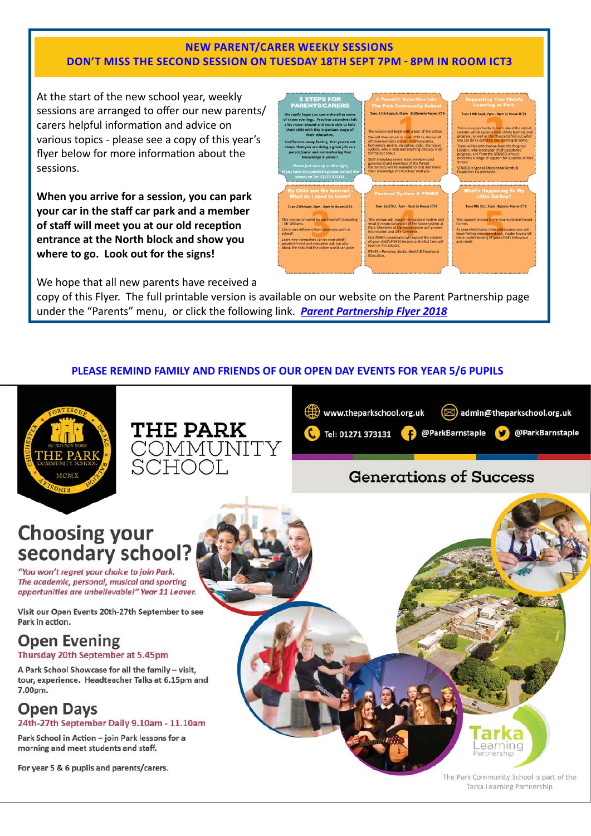#### **NEW PARENT/CARER WEEKLY SESSIONS DON'T MISS THE SECOND SESSION ON TUESDAY 18TH SEPT 7PM - 8PM IN ROOM ICT3**

At the start of the new school year, weekly sessions are arranged to offer our new parents/ carers helpful information and advice on various topics - please see a copy of this year's flyer below for more information about the sessions.

**When you arrive for a session, you can park your car in the staff car park and a member of staff will meet you at our old reception entrance at the North block and show you where to go. Look out for the signs!**



We hope that all new parents have received a

copy of this Flyer. The full printable version is available on our website on the Parent Partnership page under the "Parents" menu, or click the following link. *[Parent Partnership Flyer 2018](http://www.theparkschool.org.uk/sites/default/files/parent%20partnership_flyer%202018r.pdf)*

#### **PLEASE REMIND FAMILY AND FRIENDS OF OUR OPEN DAY EVENTS FOR YEAR 5/6 PUPILS**